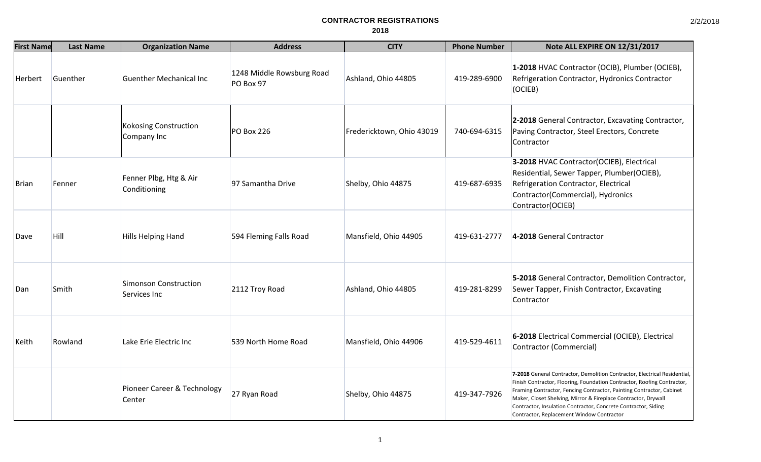| <b>First Name</b> | <b>Last Name</b> | <b>Organization Name</b>               | <b>Address</b>                         | <b>CITY</b>               | <b>Phone Number</b> | Note ALL EXPIRE ON 12/31/2017                                                                                                                                                                                                                                                                                                                                                                                 |
|-------------------|------------------|----------------------------------------|----------------------------------------|---------------------------|---------------------|---------------------------------------------------------------------------------------------------------------------------------------------------------------------------------------------------------------------------------------------------------------------------------------------------------------------------------------------------------------------------------------------------------------|
| Herbert           | Guenther         | <b>Guenther Mechanical Inc</b>         | 1248 Middle Rowsburg Road<br>PO Box 97 | Ashland, Ohio 44805       | 419-289-6900        | 1-2018 HVAC Contractor (OCIB), Plumber (OCIEB),<br>Refrigeration Contractor, Hydronics Contractor<br>(OCIEB)                                                                                                                                                                                                                                                                                                  |
|                   |                  | Kokosing Construction<br>Company Inc   | PO Box 226                             | Fredericktown, Ohio 43019 | 740-694-6315        | 2-2018 General Contractor, Excavating Contractor,<br>Paving Contractor, Steel Erectors, Concrete<br>Contractor                                                                                                                                                                                                                                                                                                |
| Brian             | Fenner           | Fenner Plbg, Htg & Air<br>Conditioning | 97 Samantha Drive                      | Shelby, Ohio 44875        | 419-687-6935        | 3-2018 HVAC Contractor(OCIEB), Electrical<br>Residential, Sewer Tapper, Plumber(OCIEB),<br>Refrigeration Contractor, Electrical<br>Contractor(Commercial), Hydronics<br>Contractor(OCIEB)                                                                                                                                                                                                                     |
| Dave              | <b>Hill</b>      | Hills Helping Hand                     | 594 Fleming Falls Road                 | Mansfield, Ohio 44905     | 419-631-2777        | 4-2018 General Contractor                                                                                                                                                                                                                                                                                                                                                                                     |
| Dan               | Smith            | Simonson Construction<br>Services Inc  | 2112 Troy Road                         | Ashland, Ohio 44805       | 419-281-8299        | 5-2018 General Contractor, Demolition Contractor,<br>Sewer Tapper, Finish Contractor, Excavating<br>Contractor                                                                                                                                                                                                                                                                                                |
| Keith             | Rowland          | Lake Erie Electric Inc                 | 539 North Home Road                    | Mansfield, Ohio 44906     | 419-529-4611        | 6-2018 Electrical Commercial (OCIEB), Electrical<br><b>Contractor (Commercial)</b>                                                                                                                                                                                                                                                                                                                            |
|                   |                  | Pioneer Career & Technology<br>Center  | 27 Ryan Road                           | Shelby, Ohio 44875        | 419-347-7926        | 7-2018 General Contractor, Demolition Contractor, Electrical Residential,<br>Finish Contractor, Flooring, Foundation Contractor, Roofing Contractor,<br>Framing Contractor, Fencing Contractor, Painting Contractor, Cabinet<br>Maker, Closet Shelving, Mirror & Fireplace Contractor, Drywall<br>Contractor, Insulation Contractor, Concrete Contractor, Siding<br>Contractor, Replacement Window Contractor |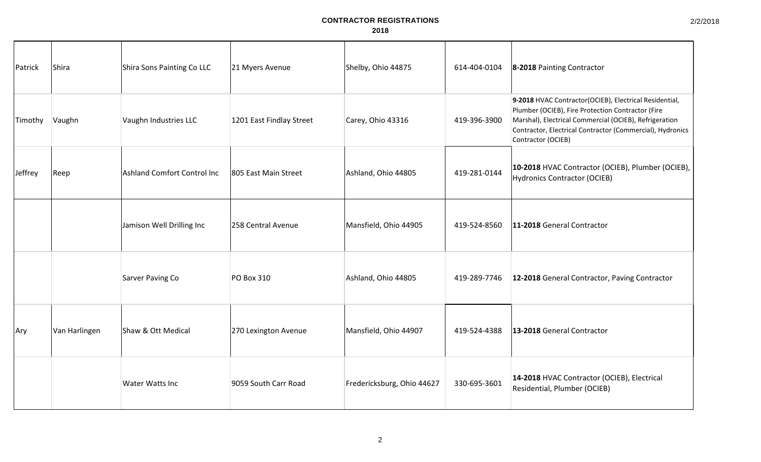| Patrick | Shira         | Shira Sons Painting Co LLC  | 21 Myers Avenue          | Shelby, Ohio 44875         | 614-404-0104 | 8-2018 Painting Contractor                                                                                                                                                                                                                               |
|---------|---------------|-----------------------------|--------------------------|----------------------------|--------------|----------------------------------------------------------------------------------------------------------------------------------------------------------------------------------------------------------------------------------------------------------|
| Timothy | Vaughn        | Vaughn Industries LLC       | 1201 East Findlay Street | Carey, Ohio 43316          | 419-396-3900 | 9-2018 HVAC Contractor(OCIEB), Electrical Residential,<br>Plumber (OCIEB), Fire Protection Contractor (Fire<br>Marshal), Electrical Commercial (OCIEB), Refrigeration<br>Contractor, Electrical Contractor (Commercial), Hydronics<br>Contractor (OCIEB) |
| Jeffrey | Reep          | Ashland Comfort Control Inc | 805 East Main Street     | Ashland, Ohio 44805        | 419-281-0144 | 10-2018 HVAC Contractor (OCIEB), Plumber (OCIEB),<br>Hydronics Contractor (OCIEB)                                                                                                                                                                        |
|         |               | Jamison Well Drilling Inc   | 258 Central Avenue       | Mansfield, Ohio 44905      | 419-524-8560 | 11-2018 General Contractor                                                                                                                                                                                                                               |
|         |               | <b>Sarver Paving Co</b>     | PO Box 310               | Ashland, Ohio 44805        | 419-289-7746 | 12-2018 General Contractor, Paving Contractor                                                                                                                                                                                                            |
| Ary     | Van Harlingen | Shaw & Ott Medical          | 270 Lexington Avenue     | Mansfield, Ohio 44907      | 419-524-4388 | 13-2018 General Contractor                                                                                                                                                                                                                               |
|         |               | <b>Water Watts Inc</b>      | 9059 South Carr Road     | Fredericksburg, Ohio 44627 | 330-695-3601 | 14-2018 HVAC Contractor (OCIEB), Electrical<br>Residential, Plumber (OCIEB)                                                                                                                                                                              |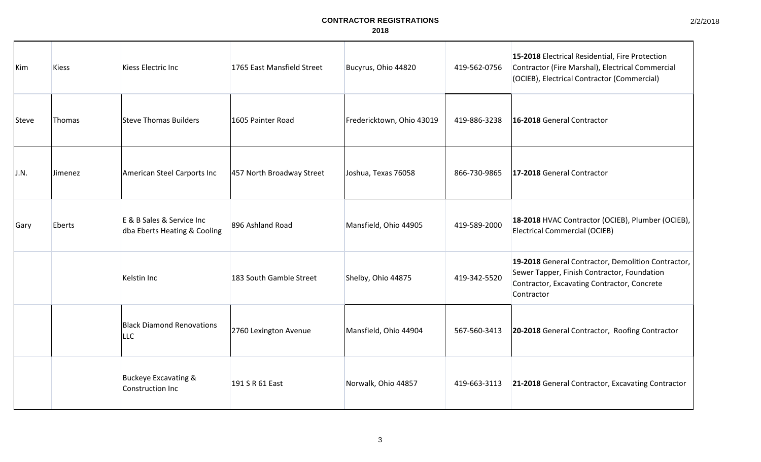2/2/2018

| Kim   | <b>Kiess</b>  | Kiess Electric Inc                                        | 1765 East Mansfield Street | Bucyrus, Ohio 44820       | 419-562-0756 | 15-2018 Electrical Residential, Fire Protection<br>Contractor (Fire Marshal), Electrical Commercial<br>(OCIEB), Electrical Contractor (Commercial)             |
|-------|---------------|-----------------------------------------------------------|----------------------------|---------------------------|--------------|----------------------------------------------------------------------------------------------------------------------------------------------------------------|
| Steve | <b>Thomas</b> | <b>Steve Thomas Builders</b>                              | 1605 Painter Road          | Fredericktown, Ohio 43019 | 419-886-3238 | 16-2018 General Contractor                                                                                                                                     |
| J.N.  | Jimenez       | American Steel Carports Inc                               | 457 North Broadway Street  | Joshua, Texas 76058       | 866-730-9865 | 17-2018 General Contractor                                                                                                                                     |
| Gary  | Eberts        | E & B Sales & Service Inc<br>dba Eberts Heating & Cooling | 896 Ashland Road           | Mansfield, Ohio 44905     | 419-589-2000 | 18-2018 HVAC Contractor (OCIEB), Plumber (OCIEB),<br><b>Electrical Commercial (OCIEB)</b>                                                                      |
|       |               | Kelstin Inc                                               | 183 South Gamble Street    | Shelby, Ohio 44875        | 419-342-5520 | 19-2018 General Contractor, Demolition Contractor,<br>Sewer Tapper, Finish Contractor, Foundation<br>Contractor, Excavating Contractor, Concrete<br>Contractor |
|       |               | <b>Black Diamond Renovations</b><br>LLC                   | 2760 Lexington Avenue      | Mansfield, Ohio 44904     | 567-560-3413 | 20-2018 General Contractor, Roofing Contractor                                                                                                                 |
|       |               | <b>Buckeye Excavating &amp;</b><br>Construction Inc       | 191 S R 61 East            | Norwalk, Ohio 44857       | 419-663-3113 | 21-2018 General Contractor, Excavating Contractor                                                                                                              |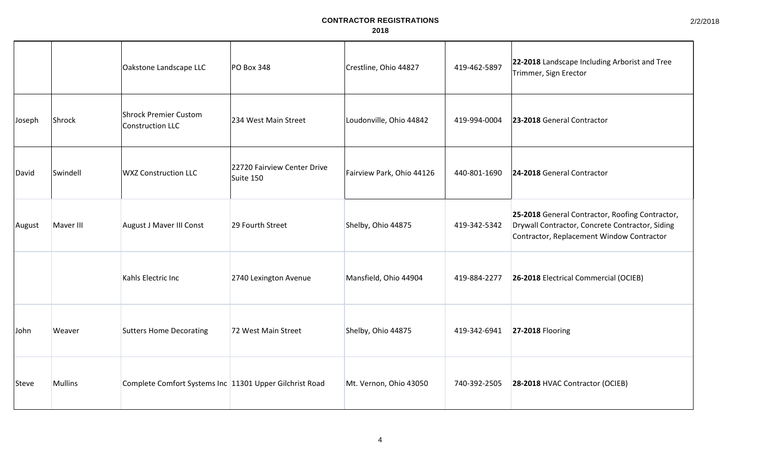|        |           | Oakstone Landscape LLC                                  | <b>PO Box 348</b>                        | Crestline, Ohio 44827     | 419-462-5897 | 22-2018 Landscape Including Arborist and Tree<br>Trimmer, Sign Erector                                                                          |
|--------|-----------|---------------------------------------------------------|------------------------------------------|---------------------------|--------------|-------------------------------------------------------------------------------------------------------------------------------------------------|
| Joseph | Shrock    | <b>Shrock Premier Custom</b><br><b>Construction LLC</b> | 234 West Main Street                     | Loudonville, Ohio 44842   | 419-994-0004 | 23-2018 General Contractor                                                                                                                      |
| David  | Swindell  | <b>WXZ Construction LLC</b>                             | 22720 Fairview Center Drive<br>Suite 150 | Fairview Park, Ohio 44126 | 440-801-1690 | 24-2018 General Contractor                                                                                                                      |
| August | Maver III | August J Maver III Const                                | 29 Fourth Street                         | Shelby, Ohio 44875        | 419-342-5342 | 25-2018 General Contractor, Roofing Contractor,<br>Drywall Contractor, Concrete Contractor, Siding<br>Contractor, Replacement Window Contractor |
|        |           | Kahls Electric Inc                                      | 2740 Lexington Avenue                    | Mansfield, Ohio 44904     | 419-884-2277 | 26-2018 Electrical Commercial (OCIEB)                                                                                                           |
| John   | Weaver    | <b>Sutters Home Decorating</b>                          | 72 West Main Street                      | Shelby, Ohio 44875        | 419-342-6941 | <b>27-2018 Flooring</b>                                                                                                                         |
| Steve  | Mullins   | Complete Comfort Systems Inc 11301 Upper Gilchrist Road |                                          | Mt. Vernon, Ohio 43050    | 740-392-2505 | 28-2018 HVAC Contractor (OCIEB)                                                                                                                 |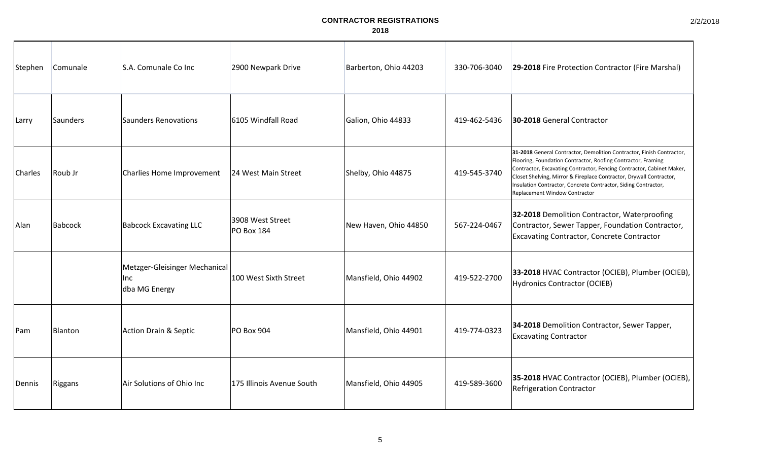| Stephen      | Comunale | S.A. Comunale Co Inc                                  | 2900 Newpark Drive                    | Barberton, Ohio 44203 | 330-706-3040 | 29-2018 Fire Protection Contractor (Fire Marshal)                                                                                                                                                                                                                                                                                                                                        |
|--------------|----------|-------------------------------------------------------|---------------------------------------|-----------------------|--------------|------------------------------------------------------------------------------------------------------------------------------------------------------------------------------------------------------------------------------------------------------------------------------------------------------------------------------------------------------------------------------------------|
| Larry        | Saunders | Saunders Renovations                                  | 6105 Windfall Road                    | Galion, Ohio 44833    | 419-462-5436 | 30-2018 General Contractor                                                                                                                                                                                                                                                                                                                                                               |
| Charles      | Roub Jr  | Charlies Home Improvement                             | 24 West Main Street                   | Shelby, Ohio 44875    | 419-545-3740 | 31-2018 General Contractor, Demolition Contractor, Finish Contractor,<br>Flooring, Foundation Contractor, Roofing Contractor, Framing<br>Contractor, Excavating Contractor, Fencing Contractor, Cabinet Maker,<br>Closet Shelving, Mirror & Fireplace Contractor, Drywall Contractor,<br>Insulation Contractor, Concrete Contractor, Siding Contractor,<br>Replacement Window Contractor |
| Alan         | Babcock  | <b>Babcock Excavating LLC</b>                         | 3908 West Street<br><b>PO Box 184</b> | New Haven, Ohio 44850 | 567-224-0467 | 32-2018 Demolition Contractor, Waterproofing<br>Contractor, Sewer Tapper, Foundation Contractor,<br><b>Excavating Contractor, Concrete Contractor</b>                                                                                                                                                                                                                                    |
|              |          | Metzger-Gleisinger Mechanical<br>Inc<br>dba MG Energy | 100 West Sixth Street                 | Mansfield, Ohio 44902 | 419-522-2700 | 33-2018 HVAC Contractor (OCIEB), Plumber (OCIEB),<br><b>Hydronics Contractor (OCIEB)</b>                                                                                                                                                                                                                                                                                                 |
| <b>I</b> Pam | Blanton  | Action Drain & Septic                                 | <b>PO Box 904</b>                     | Mansfield, Ohio 44901 | 419-774-0323 | 34-2018 Demolition Contractor, Sewer Tapper,<br><b>Excavating Contractor</b>                                                                                                                                                                                                                                                                                                             |
| Dennis       | Riggans  | Air Solutions of Ohio Inc                             | 175 Illinois Avenue South             | Mansfield, Ohio 44905 | 419-589-3600 | 35-2018 HVAC Contractor (OCIEB), Plumber (OCIEB),<br><b>Refrigeration Contractor</b>                                                                                                                                                                                                                                                                                                     |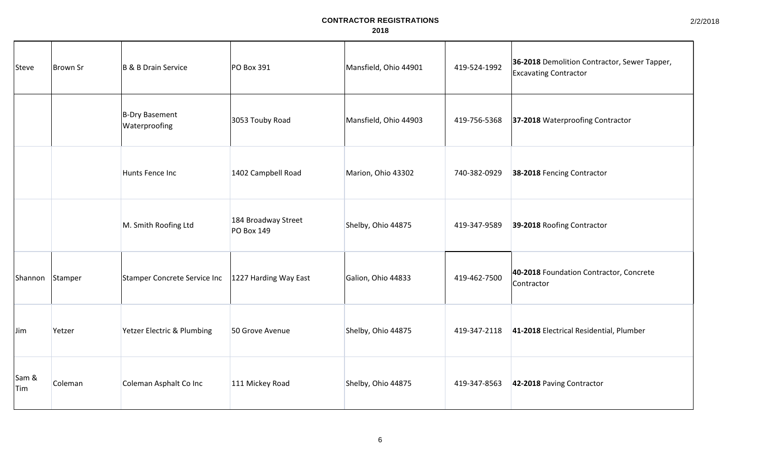| Steve        | Brown Sr | B & B Drain Service             | PO Box 391                               | Mansfield, Ohio 44901 | 419-524-1992 | 36-2018 Demolition Contractor, Sewer Tapper,<br><b>Excavating Contractor</b> |
|--------------|----------|---------------------------------|------------------------------------------|-----------------------|--------------|------------------------------------------------------------------------------|
|              |          | B-Dry Basement<br>Waterproofing | 3053 Touby Road                          | Mansfield, Ohio 44903 | 419-756-5368 | 37-2018 Waterproofing Contractor                                             |
|              |          | Hunts Fence Inc                 | 1402 Campbell Road                       | Marion, Ohio 43302    | 740-382-0929 | 38-2018 Fencing Contractor                                                   |
|              |          | M. Smith Roofing Ltd            | 184 Broadway Street<br><b>PO Box 149</b> | Shelby, Ohio 44875    | 419-347-9589 | 39-2018 Roofing Contractor                                                   |
| Shannon      | Stamper  | Stamper Concrete Service Inc    | 1227 Harding Way East                    | Galion, Ohio 44833    | 419-462-7500 | 40-2018 Foundation Contractor, Concrete<br>Contractor                        |
| IJim         | Yetzer   | Yetzer Electric & Plumbing      | 50 Grove Avenue                          | Shelby, Ohio 44875    | 419-347-2118 | 41-2018 Electrical Residential, Plumber                                      |
| Sam &<br>Tim | Coleman  | Coleman Asphalt Co Inc          | 111 Mickey Road                          | Shelby, Ohio 44875    | 419-347-8563 | 42-2018 Paving Contractor                                                    |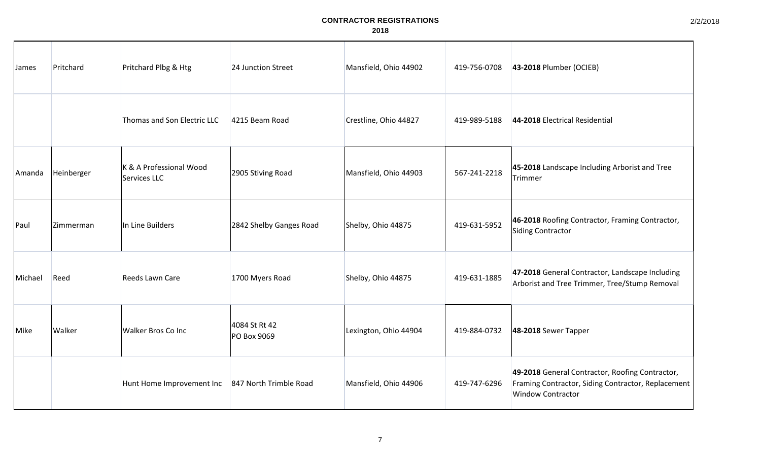| James   | Pritchard  | Pritchard Plbg & Htg                               | 24 Junction Street           | Mansfield, Ohio 44902 | 419-756-0708 | 43-2018 Plumber (OCIEB)                                                                                                           |
|---------|------------|----------------------------------------------------|------------------------------|-----------------------|--------------|-----------------------------------------------------------------------------------------------------------------------------------|
|         |            | Thomas and Son Electric LLC                        | 4215 Beam Road               | Crestline, Ohio 44827 | 419-989-5188 | 44-2018 Electrical Residential                                                                                                    |
| Amanda  | Heinberger | K & A Professional Wood<br>Services LLC            | 2905 Stiving Road            | Mansfield, Ohio 44903 | 567-241-2218 | 45-2018 Landscape Including Arborist and Tree<br>Trimmer                                                                          |
| Paul    | Zimmerman  | In Line Builders                                   | 2842 Shelby Ganges Road      | Shelby, Ohio 44875    | 419-631-5952 | 46-2018 Roofing Contractor, Framing Contractor,<br>Siding Contractor                                                              |
| Michael | Reed       | Reeds Lawn Care                                    | 1700 Myers Road              | Shelby, Ohio 44875    | 419-631-1885 | 47-2018 General Contractor, Landscape Including<br>Arborist and Tree Trimmer, Tree/Stump Removal                                  |
| Mike    | Walker     | <b>Walker Bros Co Inc</b>                          | 4084 St Rt 42<br>PO Box 9069 | Lexington, Ohio 44904 | 419-884-0732 | 48-2018 Sewer Tapper                                                                                                              |
|         |            | Hunt Home Improvement Inc   847 North Trimble Road |                              | Mansfield, Ohio 44906 | 419-747-6296 | 49-2018 General Contractor, Roofing Contractor,<br>Framing Contractor, Siding Contractor, Replacement<br><b>Window Contractor</b> |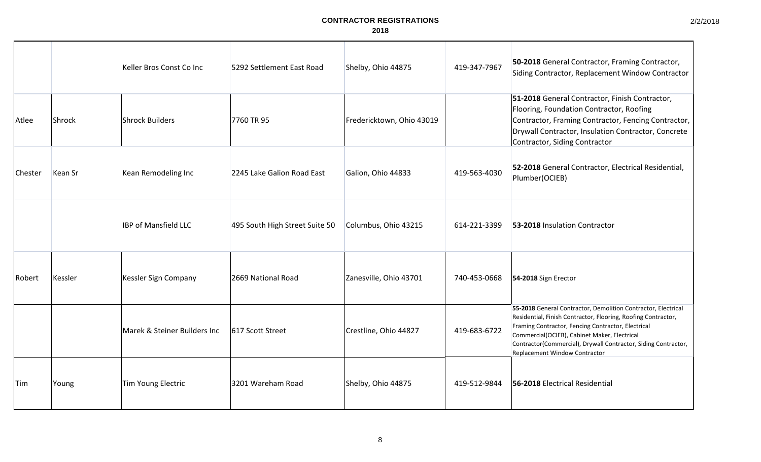2/2/2018

|            |                | Keller Bros Const Co Inc     | 5292 Settlement East Road      | Shelby, Ohio 44875        | 419-347-7967 | 50-2018 General Contractor, Framing Contractor,<br>Siding Contractor, Replacement Window Contractor                                                                                                                                                                                                                                     |
|------------|----------------|------------------------------|--------------------------------|---------------------------|--------------|-----------------------------------------------------------------------------------------------------------------------------------------------------------------------------------------------------------------------------------------------------------------------------------------------------------------------------------------|
| Atlee      | Shrock         | Shrock Builders              | 7760 TR 95                     | Fredericktown, Ohio 43019 |              | 51-2018 General Contractor, Finish Contractor,<br>Flooring, Foundation Contractor, Roofing<br>Contractor, Framing Contractor, Fencing Contractor,<br>Drywall Contractor, Insulation Contractor, Concrete<br>Contractor, Siding Contractor                                                                                               |
| Chester    | <b>Kean Sr</b> | Kean Remodeling Inc          | 2245 Lake Galion Road East     | Galion, Ohio 44833        | 419-563-4030 | 52-2018 General Contractor, Electrical Residential,<br>Plumber(OCIEB)                                                                                                                                                                                                                                                                   |
|            |                | <b>IBP of Mansfield LLC</b>  | 495 South High Street Suite 50 | Columbus, Ohio 43215      | 614-221-3399 | 53-2018 Insulation Contractor                                                                                                                                                                                                                                                                                                           |
| Robert     | Kessler        | Kessler Sign Company         | 2669 National Road             | Zanesville, Ohio 43701    | 740-453-0668 | 54-2018 Sign Erector                                                                                                                                                                                                                                                                                                                    |
|            |                | Marek & Steiner Builders Inc | 617 Scott Street               | Crestline, Ohio 44827     | 419-683-6722 | 55-2018 General Contractor, Demolition Contractor, Electrical<br>Residential, Finish Contractor, Flooring, Roofing Contractor,<br>Framing Contractor, Fencing Contractor, Electrical<br>Commercial(OCIEB), Cabinet Maker, Electrical<br>Contractor(Commercial), Drywall Contractor, Siding Contractor,<br>Replacement Window Contractor |
| <b>Tim</b> | Young          | Tim Young Electric           | 3201 Wareham Road              | Shelby, Ohio 44875        | 419-512-9844 | 56-2018 Electrical Residential                                                                                                                                                                                                                                                                                                          |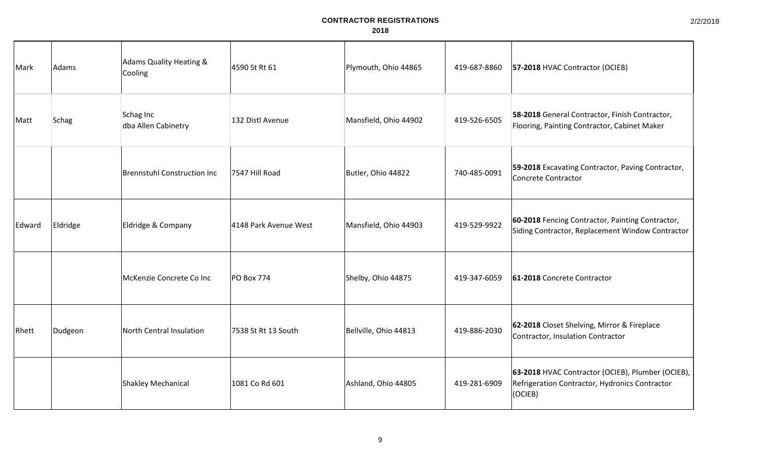| Mark   | Adams    | <b>Adams Quality Heating &amp;</b><br>Cooling | 4590 St Rt 61         | Plymouth, Ohio 44865  | 419-687-8860 | 57-2018 HVAC Contractor (OCIEB)                                                                                |
|--------|----------|-----------------------------------------------|-----------------------|-----------------------|--------------|----------------------------------------------------------------------------------------------------------------|
| Matt   | Schag    | Schag Inc<br>dba Allen Cabinetry              | 132 Distl Avenue      | Mansfield, Ohio 44902 | 419-526-6505 | 58-2018 General Contractor, Finish Contractor,<br>Flooring, Painting Contractor, Cabinet Maker                 |
|        |          | Brennstuhl Construction Inc                   | 7547 Hill Road        | Butler, Ohio 44822    | 740-485-0091 | 59-2018 Excavating Contractor, Paving Contractor,<br>Concrete Contractor                                       |
| Edward | Eldridge | Eldridge & Company                            | 4148 Park Avenue West | Mansfield, Ohio 44903 | 419-529-9922 | 60-2018 Fencing Contractor, Painting Contractor,<br>Siding Contractor, Replacement Window Contractor           |
|        |          | McKenzie Concrete Co Inc                      | <b>PO Box 774</b>     | Shelby, Ohio 44875    | 419-347-6059 | 61-2018 Concrete Contractor                                                                                    |
| Rhett  | Dudgeon  | North Central Insulation                      | 7538 St Rt 13 South   | Bellville, Ohio 44813 | 419-886-2030 | 62-2018 Closet Shelving, Mirror & Fireplace<br>Contractor, Insulation Contractor                               |
|        |          | Shakley Mechanical                            | 1081 Co Rd 601        | Ashland, Ohio 44805   | 419-281-6909 | 63-2018 HVAC Contractor (OCIEB), Plumber (OCIEB),<br>Refrigeration Contractor, Hydronics Contractor<br>(OCIEB) |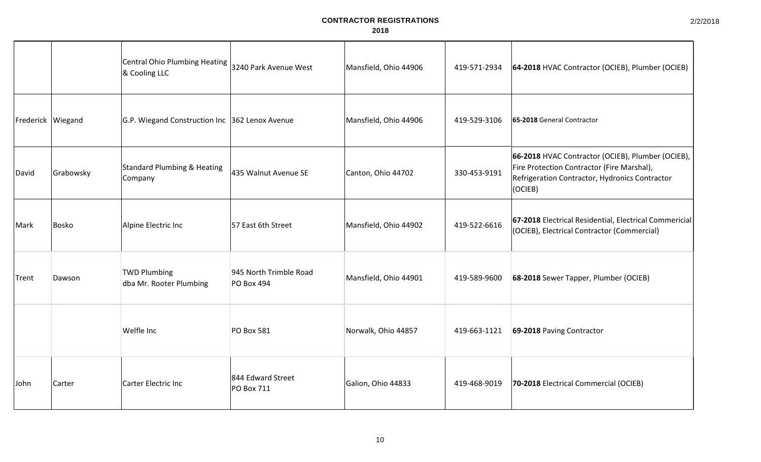|       |                     | <b>Central Ohio Plumbing Heating</b><br>& Cooling LLC | 3240 Park Avenue West                       | Mansfield, Ohio 44906 | 419-571-2934 | 64-2018 HVAC Contractor (OCIEB), Plumber (OCIEB)                                                                                                                     |
|-------|---------------------|-------------------------------------------------------|---------------------------------------------|-----------------------|--------------|----------------------------------------------------------------------------------------------------------------------------------------------------------------------|
|       | Frederick   Wiegand | G.P. Wiegand Construction Inc 362 Lenox Avenue        |                                             | Mansfield, Ohio 44906 | 419-529-3106 | 65-2018 General Contractor                                                                                                                                           |
| David | Grabowsky           | <b>Standard Plumbing &amp; Heating</b><br>Company     | 435 Walnut Avenue SE                        | Canton, Ohio 44702    | 330-453-9191 | 66-2018 HVAC Contractor (OCIEB), Plumber (OCIEB),<br>Fire Protection Contractor (Fire Marshal),<br>Refrigeration Contractor, Hydronics Contractor<br>$ OCIEB\rangle$ |
| Mark  | Bosko               | Alpine Electric Inc                                   | 57 East 6th Street                          | Mansfield, Ohio 44902 | 419-522-6616 | 67-2018 Electrical Residential, Electrical Commericial<br>(OCIEB), Electrical Contractor (Commercial)                                                                |
| Trent | Dawson              | <b>TWD Plumbing</b><br>dba Mr. Rooter Plumbing        | 945 North Trimble Road<br><b>PO Box 494</b> | Mansfield, Ohio 44901 | 419-589-9600 | 68-2018 Sewer Tapper, Plumber (OCIEB)                                                                                                                                |
|       |                     | Welfle Inc                                            | <b>PO Box 581</b>                           | Norwalk, Ohio 44857   | 419-663-1121 | 69-2018 Paving Contractor                                                                                                                                            |
| John  | Carter              | Carter Electric Inc                                   | 844 Edward Street<br>PO Box 711             | Galion, Ohio 44833    | 419-468-9019 | 70-2018 Electrical Commercial (OCIEB)                                                                                                                                |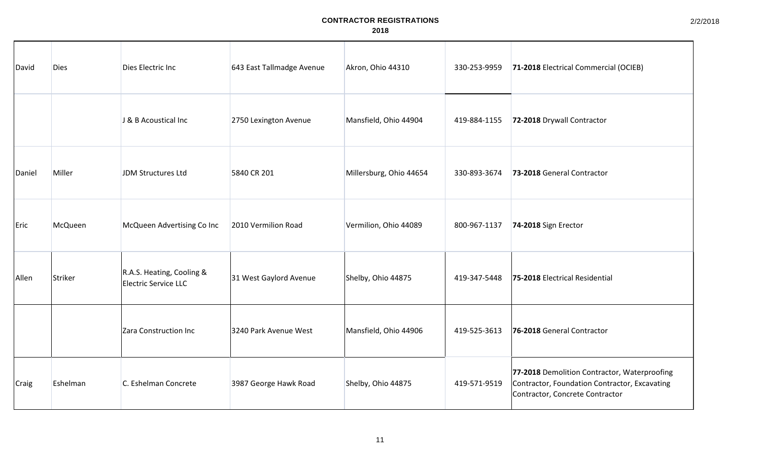| David  | <b>Dies</b> | Dies Electric Inc                                 | 643 East Tallmadge Avenue | Akron, Ohio 44310       | 330-253-9959 | 71-2018 Electrical Commercial (OCIEB)                                                                                            |
|--------|-------------|---------------------------------------------------|---------------------------|-------------------------|--------------|----------------------------------------------------------------------------------------------------------------------------------|
|        |             | J & B Acoustical Inc                              | 2750 Lexington Avenue     | Mansfield, Ohio 44904   | 419-884-1155 | 72-2018 Drywall Contractor                                                                                                       |
| Daniel | Miller      | JDM Structures Ltd                                | 5840 CR 201               | Millersburg, Ohio 44654 | 330-893-3674 | 73-2018 General Contractor                                                                                                       |
| Eric   | McQueen     | McQueen Advertising Co Inc                        | 2010 Vermilion Road       | Vermilion, Ohio 44089   | 800-967-1137 | 74-2018 Sign Erector                                                                                                             |
| Allen  | Striker     | R.A.S. Heating, Cooling &<br>Electric Service LLC | 31 West Gaylord Avenue    | Shelby, Ohio 44875      | 419-347-5448 | 75-2018 Electrical Residential                                                                                                   |
|        |             | Zara Construction Inc                             | 3240 Park Avenue West     | Mansfield, Ohio 44906   | 419-525-3613 | 76-2018 General Contractor                                                                                                       |
| Craig  | Eshelman    | C. Eshelman Concrete                              | 3987 George Hawk Road     | Shelby, Ohio 44875      | 419-571-9519 | 77-2018 Demolition Contractor, Waterproofing<br>Contractor, Foundation Contractor, Excavating<br>Contractor, Concrete Contractor |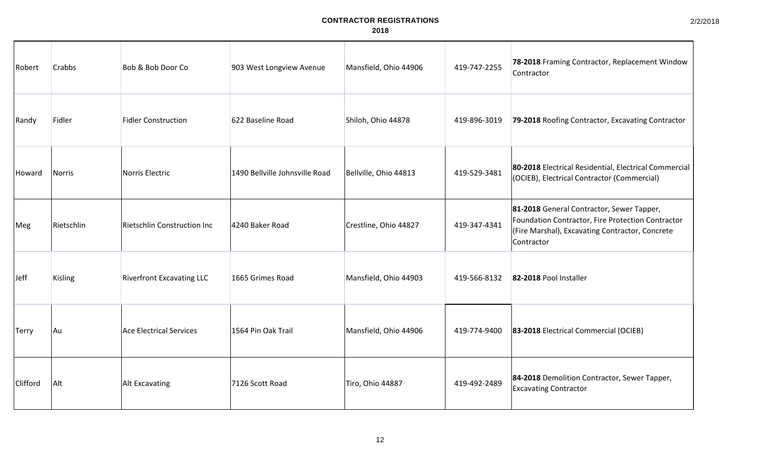| Robert      | <b>Crabbs</b> | Bob & Bob Door Co                | 903 West Longview Avenue       | Mansfield, Ohio 44906 | 419-747-2255 | 78-2018 Framing Contractor, Replacement Window<br>Contractor                                                                                                    |
|-------------|---------------|----------------------------------|--------------------------------|-----------------------|--------------|-----------------------------------------------------------------------------------------------------------------------------------------------------------------|
| Randy       | Fidler        | <b>Fidler Construction</b>       | 622 Baseline Road              | Shiloh, Ohio 44878    | 419-896-3019 | 79-2018 Roofing Contractor, Excavating Contractor                                                                                                               |
| Howard      | Norris        | Norris Electric                  | 1490 Bellville Johnsville Road | Bellville, Ohio 44813 | 419-529-3481 | 80-2018 Electrical Residential, Electrical Commercial<br>(OCIEB), Electrical Contractor (Commercial)                                                            |
| Meg         | Rietschlin    | Rietschlin Construction Inc      | 4240 Baker Road                | Crestline, Ohio 44827 | 419-347-4341 | 81-2018 General Contractor, Sewer Tapper,<br>Foundation Contractor, Fire Protection Contractor<br>(Fire Marshal), Excavating Contractor, Concrete<br>Contractor |
| <b>Jeff</b> | Kisling       | <b>Riverfront Excavating LLC</b> | 1665 Grimes Road               | Mansfield, Ohio 44903 | 419-566-8132 | 82-2018 Pool Installer                                                                                                                                          |
| Terry       | Au            | Ace Electrical Services          | 1564 Pin Oak Trail             | Mansfield, Ohio 44906 | 419-774-9400 | 83-2018 Electrical Commercial (OCIEB)                                                                                                                           |
| Clifford    | Alt           | Alt Excavating                   | 7126 Scott Road                | Tiro, Ohio 44887      | 419-492-2489 | 84-2018 Demolition Contractor, Sewer Tapper,<br><b>Excavating Contractor</b>                                                                                    |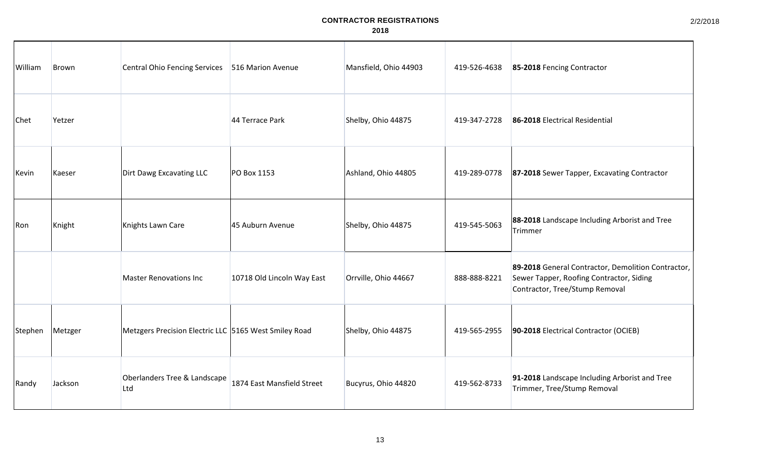| William | Brown   | <b>Central Ohio Fencing Services</b>                  | 516 Marion Avenue          | Mansfield, Ohio 44903 | 419-526-4638 | 85-2018 Fencing Contractor                                                                                                       |
|---------|---------|-------------------------------------------------------|----------------------------|-----------------------|--------------|----------------------------------------------------------------------------------------------------------------------------------|
| Chet    | Yetzer  |                                                       | 44 Terrace Park            | Shelby, Ohio 44875    | 419-347-2728 | 86-2018 Electrical Residential                                                                                                   |
| Kevin   | Kaeser  | Dirt Dawg Excavating LLC                              | PO Box 1153                | Ashland, Ohio 44805   | 419-289-0778 | 87-2018 Sewer Tapper, Excavating Contractor                                                                                      |
| Ron     | Knight  | Knights Lawn Care                                     | 45 Auburn Avenue           | Shelby, Ohio 44875    | 419-545-5063 | 88-2018 Landscape Including Arborist and Tree<br>Trimmer                                                                         |
|         |         | <b>Master Renovations Inc.</b>                        | 10718 Old Lincoln Way East | Orrville, Ohio 44667  | 888-888-8221 | 89-2018 General Contractor, Demolition Contractor,<br>Sewer Tapper, Roofing Contractor, Siding<br>Contractor, Tree/Stump Removal |
| Stephen | Metzger | Metzgers Precision Electric LLC 5165 West Smiley Road |                            | Shelby, Ohio 44875    | 419-565-2955 | 90-2018 Electrical Contractor (OCIEB)                                                                                            |
| Randy   | Jackson | Oberlanders Tree & Landscape<br>Ltd                   | 1874 East Mansfield Street | Bucyrus, Ohio 44820   | 419-562-8733 | 91-2018 Landscape Including Arborist and Tree<br>Trimmer, Tree/Stump Removal                                                     |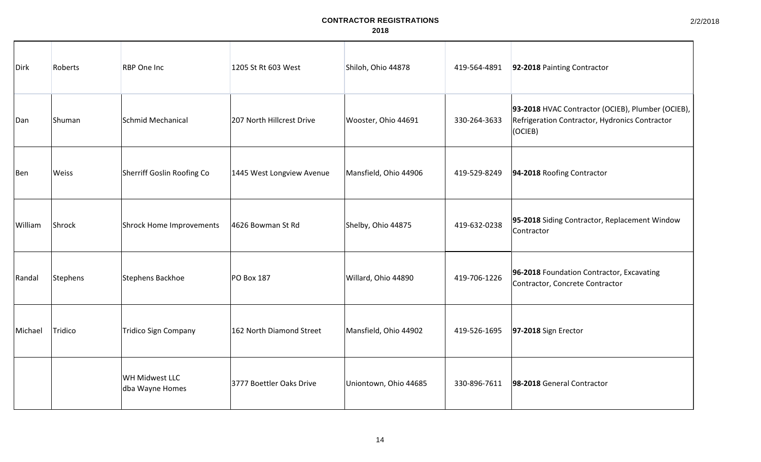| Dirk    | Roberts  | <b>RBP</b> One Inc                | 1205 St Rt 603 West       | Shiloh, Ohio 44878    | 419-564-4891 | 92-2018 Painting Contractor                                                                                    |
|---------|----------|-----------------------------------|---------------------------|-----------------------|--------------|----------------------------------------------------------------------------------------------------------------|
| Dan     | Shuman   | Schmid Mechanical                 | 207 North Hillcrest Drive | Wooster, Ohio 44691   | 330-264-3633 | 93-2018 HVAC Contractor (OCIEB), Plumber (OCIEB),<br>Refrigeration Contractor, Hydronics Contractor<br>(OCIEB) |
| Ben     | Weiss    | Sherriff Goslin Roofing Co        | 1445 West Longview Avenue | Mansfield, Ohio 44906 | 419-529-8249 | 94-2018 Roofing Contractor                                                                                     |
| William | Shrock   | Shrock Home Improvements          | 4626 Bowman St Rd         | Shelby, Ohio 44875    | 419-632-0238 | 95-2018 Siding Contractor, Replacement Window<br>Contractor                                                    |
| Randal  | Stephens | Stephens Backhoe                  | <b>PO Box 187</b>         | Willard, Ohio 44890   | 419-706-1226 | 96-2018 Foundation Contractor, Excavating<br>Contractor, Concrete Contractor                                   |
| Michael | Tridico  | <b>Tridico Sign Company</b>       | 162 North Diamond Street  | Mansfield, Ohio 44902 | 419-526-1695 | 97-2018 Sign Erector                                                                                           |
|         |          | WH Midwest LLC<br>dba Wayne Homes | 3777 Boettler Oaks Drive  | Uniontown, Ohio 44685 | 330-896-7611 | 98-2018 General Contractor                                                                                     |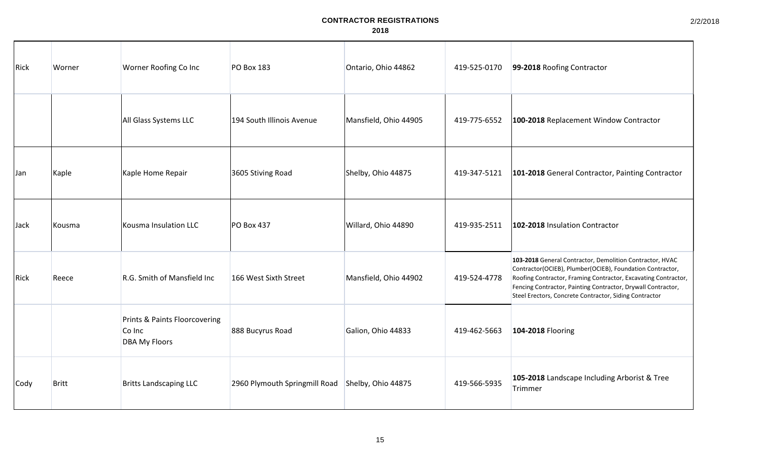| Rick | Worner       | Worner Roofing Co Inc                                           | <b>PO Box 183</b>             | Ontario, Ohio 44862   | 419-525-0170 | 99-2018 Roofing Contractor                                                                                                                                                                                                                                                                                        |
|------|--------------|-----------------------------------------------------------------|-------------------------------|-----------------------|--------------|-------------------------------------------------------------------------------------------------------------------------------------------------------------------------------------------------------------------------------------------------------------------------------------------------------------------|
|      |              | All Glass Systems LLC                                           | 194 South Illinois Avenue     | Mansfield, Ohio 44905 | 419-775-6552 | 100-2018 Replacement Window Contractor                                                                                                                                                                                                                                                                            |
| Jan  | Kaple        | Kaple Home Repair                                               | 3605 Stiving Road             | Shelby, Ohio 44875    | 419-347-5121 | 101-2018 General Contractor, Painting Contractor                                                                                                                                                                                                                                                                  |
| Jack | Kousma       | Kousma Insulation LLC                                           | PO Box 437                    | Willard, Ohio 44890   | 419-935-2511 | 102-2018 Insulation Contractor                                                                                                                                                                                                                                                                                    |
| Rick | Reece        | R.G. Smith of Mansfield Inc                                     | 166 West Sixth Street         | Mansfield, Ohio 44902 | 419-524-4778 | 103-2018 General Contractor, Demolition Contractor, HVAC<br>Contractor(OCIEB), Plumber(OCIEB), Foundation Contractor,<br>Roofing Contractor, Framing Contractor, Excavating Contractor,<br>Fencing Contractor, Painting Contractor, Drywall Contractor,<br>Steel Erectors, Concrete Contractor, Siding Contractor |
|      |              | Prints & Paints Floorcovering<br>Co Inc<br><b>DBA My Floors</b> | 888 Bucyrus Road              | Galion, Ohio 44833    | 419-462-5663 | 104-2018 Flooring                                                                                                                                                                                                                                                                                                 |
| Cody | <b>Britt</b> | <b>Britts Landscaping LLC</b>                                   | 2960 Plymouth Springmill Road | Shelby, Ohio 44875    | 419-566-5935 | 105-2018 Landscape Including Arborist & Tree<br>Trimmer                                                                                                                                                                                                                                                           |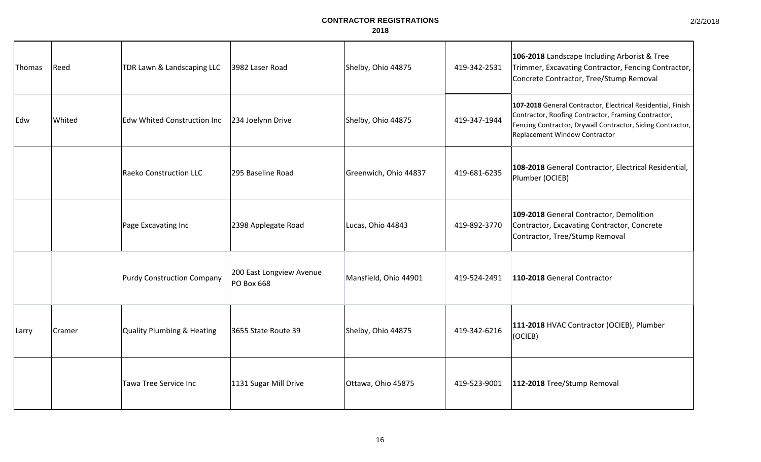2/2/2018

| Thomas | Reed          | TDR Lawn & Landscaping LLC         | 3982 Laser Road                               | Shelby, Ohio 44875    | 419-342-2531 | 106-2018 Landscape Including Arborist & Tree<br>Trimmer, Excavating Contractor, Fencing Contractor,<br>Concrete Contractor, Tree/Stump Removal                                                                    |
|--------|---------------|------------------------------------|-----------------------------------------------|-----------------------|--------------|-------------------------------------------------------------------------------------------------------------------------------------------------------------------------------------------------------------------|
| Edw    | Whited        | <b>Edw Whited Construction Inc</b> | 234 Joelynn Drive                             | Shelby, Ohio 44875    | 419-347-1944 | 107-2018 General Contractor, Electrical Residential, Finish<br>Contractor, Roofing Contractor, Framing Contractor,<br>Fencing Contractor, Drywall Contractor, Siding Contractor,<br>Replacement Window Contractor |
|        |               | Raeko Construction LLC             | 295 Baseline Road                             | Greenwich, Ohio 44837 | 419-681-6235 | 108-2018 General Contractor, Electrical Residential,<br>Plumber (OCIEB)                                                                                                                                           |
|        |               | Page Excavating Inc                | 2398 Applegate Road                           | Lucas, Ohio 44843     | 419-892-3770 | 109-2018 General Contractor, Demolition<br>Contractor, Excavating Contractor, Concrete<br>Contractor, Tree/Stump Removal                                                                                          |
|        |               | <b>Purdy Construction Company</b>  | 200 East Longview Avenue<br><b>PO Box 668</b> | Mansfield, Ohio 44901 | 419-524-2491 | 110-2018 General Contractor                                                                                                                                                                                       |
| Larry  | <b>Cramer</b> | Quality Plumbing & Heating         | 3655 State Route 39                           | Shelby, Ohio 44875    | 419-342-6216 | 111-2018 HVAC Contractor (OCIEB), Plumber<br>(OCIEB)                                                                                                                                                              |
|        |               | <b>Tawa Tree Service Inc</b>       | 1131 Sugar Mill Drive                         | Ottawa, Ohio 45875    | 419-523-9001 | 112-2018 Tree/Stump Removal                                                                                                                                                                                       |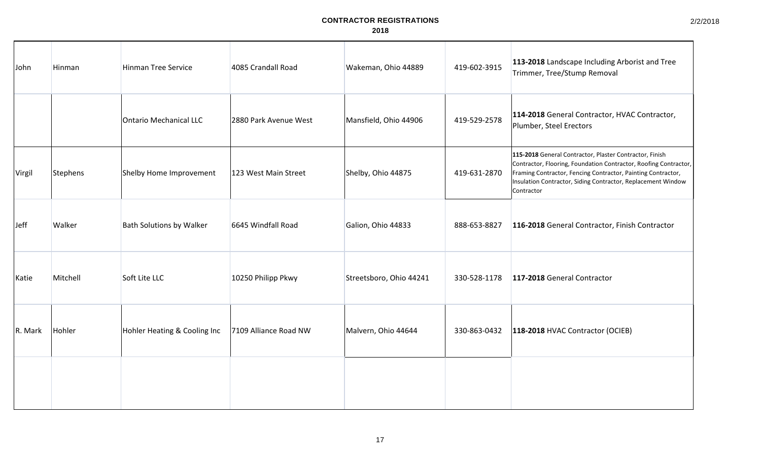2/2/2018

| John    | Hinman   | <b>Hinman Tree Service</b>      | 4085 Crandall Road    | Wakeman, Ohio 44889     | 419-602-3915 | 113-2018 Landscape Including Arborist and Tree<br>Trimmer, Tree/Stump Removal                                                                                                                                                                                             |
|---------|----------|---------------------------------|-----------------------|-------------------------|--------------|---------------------------------------------------------------------------------------------------------------------------------------------------------------------------------------------------------------------------------------------------------------------------|
|         |          | Ontario Mechanical LLC          | 2880 Park Avenue West | Mansfield, Ohio 44906   | 419-529-2578 | 114-2018 General Contractor, HVAC Contractor,<br>Plumber, Steel Erectors                                                                                                                                                                                                  |
| Virgil  | Stephens | Shelby Home Improvement         | 123 West Main Street  | Shelby, Ohio 44875      | 419-631-2870 | 115-2018 General Contractor, Plaster Contractor, Finish<br>Contractor, Flooring, Foundation Contractor, Roofing Contractor,<br>Framing Contractor, Fencing Contractor, Painting Contractor,<br>Insulation Contractor, Siding Contractor, Replacement Window<br>Contractor |
| Jeff    | Walker   | <b>Bath Solutions by Walker</b> | 6645 Windfall Road    | Galion, Ohio 44833      | 888-653-8827 | 116-2018 General Contractor, Finish Contractor                                                                                                                                                                                                                            |
| Katie   | Mitchell | Soft Lite LLC                   | 10250 Philipp Pkwy    | Streetsboro, Ohio 44241 | 330-528-1178 | 117-2018 General Contractor                                                                                                                                                                                                                                               |
| R. Mark | Hohler   | Hohler Heating & Cooling Inc    | 7109 Alliance Road NW | Malvern, Ohio 44644     | 330-863-0432 | 118-2018 HVAC Contractor (OCIEB)                                                                                                                                                                                                                                          |
|         |          |                                 |                       |                         |              |                                                                                                                                                                                                                                                                           |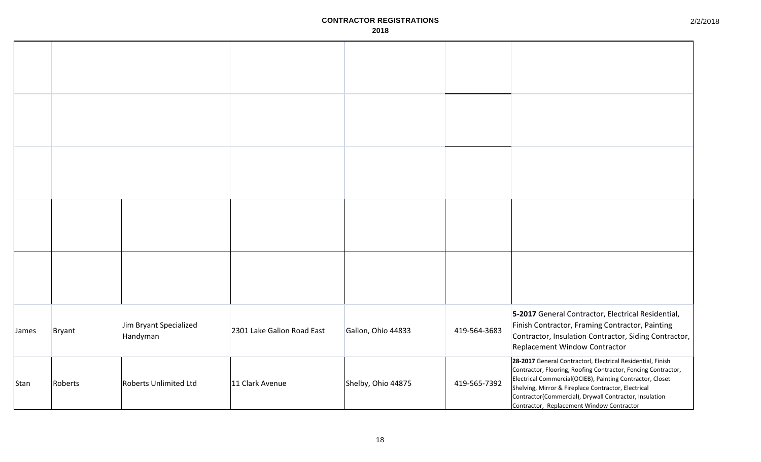| James | <b>Bryant</b> | Jim Bryant Specialized<br>Handyman | 2301 Lake Galion Road East | Galion, Ohio 44833 | 419-564-3683 | 5-2017 General Contractor, Electrical Residential,<br>Finish Contractor, Framing Contractor, Painting<br>Contractor, Insulation Contractor, Siding Contractor,<br>Replacement Window Contractor                                                                                                                                                         |
|-------|---------------|------------------------------------|----------------------------|--------------------|--------------|---------------------------------------------------------------------------------------------------------------------------------------------------------------------------------------------------------------------------------------------------------------------------------------------------------------------------------------------------------|
| Stan  | Roberts       | <b>Roberts Unlimited Ltd</b>       | 11 Clark Avenue            | Shelby, Ohio 44875 | 419-565-7392 | 28-2017 General Contractorl, Electrical Residential, Finish<br>Contractor, Flooring, Roofing Contractor, Fencing Contractor,<br>Electrical Commercial(OCIEB), Painting Contractor, Closet<br>Shelving, Mirror & Fireplace Contractor, Electrical<br>Contractor(Commercial), Drywall Contractor, Insulation<br>Contractor, Replacement Window Contractor |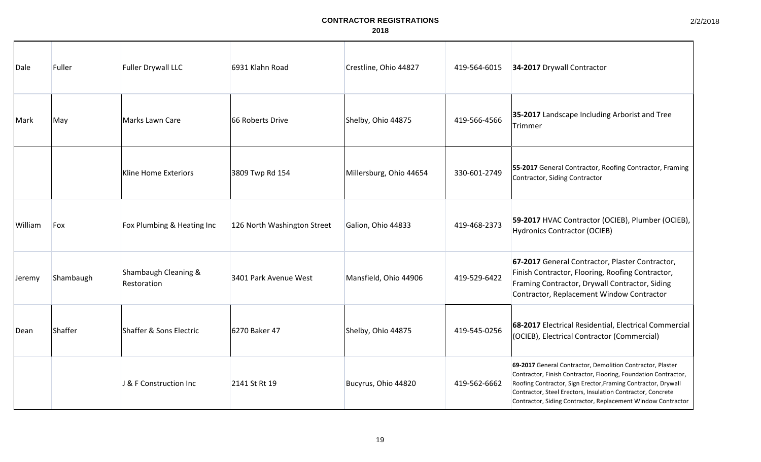| Dale          | Fuller    | <b>Fuller Drywall LLC</b>           | 6931 Klahn Road             | Crestline, Ohio 44827   | 419-564-6015 | 34-2017 Drywall Contractor                                                                                                                                                                                                                                                                                                    |
|---------------|-----------|-------------------------------------|-----------------------------|-------------------------|--------------|-------------------------------------------------------------------------------------------------------------------------------------------------------------------------------------------------------------------------------------------------------------------------------------------------------------------------------|
| Mark          | May       | Marks Lawn Care                     | 66 Roberts Drive            | Shelby, Ohio 44875      | 419-566-4566 | 35-2017 Landscape Including Arborist and Tree<br>Trimmer                                                                                                                                                                                                                                                                      |
|               |           | Kline Home Exteriors                | 3809 Twp Rd 154             | Millersburg, Ohio 44654 | 330-601-2749 | 55-2017 General Contractor, Roofing Contractor, Framing<br>Contractor, Siding Contractor                                                                                                                                                                                                                                      |
| William       | Fox       | Fox Plumbing & Heating Inc          | 126 North Washington Street | Galion, Ohio 44833      | 419-468-2373 | 59-2017 HVAC Contractor (OCIEB), Plumber (OCIEB),<br><b>Hydronics Contractor (OCIEB)</b>                                                                                                                                                                                                                                      |
| Jeremy        | Shambaugh | Shambaugh Cleaning &<br>Restoration | 3401 Park Avenue West       | Mansfield, Ohio 44906   | 419-529-6422 | 67-2017 General Contractor, Plaster Contractor,<br>Finish Contractor, Flooring, Roofing Contractor,<br>Framing Contractor, Drywall Contractor, Siding<br>Contractor, Replacement Window Contractor                                                                                                                            |
| <b>I</b> Dean | Shaffer   | Shaffer & Sons Electric             | 6270 Baker 47               | Shelby, Ohio 44875      | 419-545-0256 | 68-2017 Electrical Residential, Electrical Commercial<br>(OCIEB), Electrical Contractor (Commercial)                                                                                                                                                                                                                          |
|               |           | J & F Construction Inc              | 2141 St Rt 19               | Bucyrus, Ohio 44820     | 419-562-6662 | 69-2017 General Contractor, Demolition Contractor, Plaster<br>Contractor, Finish Contractor, Flooring, Foundation Contractor,<br>Roofing Contractor, Sign Erector, Framing Contractor, Drywall<br>Contractor, Steel Erectors, Insulation Contractor, Concrete<br>Contractor, Siding Contractor, Replacement Window Contractor |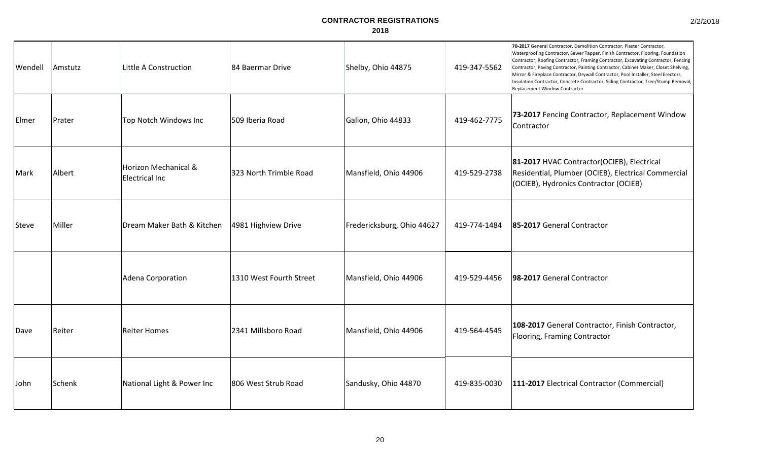| Wendell | Amstutz | Little A Construction                  | 84 Baermar Drive        | Shelby, Ohio 44875         | 419-347-5562 | 70-2017 General Contractor, Demolition Contractor, Plaster Contractor,<br>Waterproofing Contractor, Sewer Tapper, Finish Contractor, Flooring, Foundation<br>Contractor, Roofing Contractor, Framing Contractor, Excavating Contractor, Fencing<br>Contractor, Paving Contractor, Painting Contractor, Cabinet Maker, Closet Shelving,<br>Mirror & Fireplace Contractor, Drywall Contractor, Pool Installer, Steel Erectors,<br>Insulation Contractor, Concrete Contractor, Siding Contractor, Tree/Stump Removal,<br>Replacement Window Contractor |
|---------|---------|----------------------------------------|-------------------------|----------------------------|--------------|-----------------------------------------------------------------------------------------------------------------------------------------------------------------------------------------------------------------------------------------------------------------------------------------------------------------------------------------------------------------------------------------------------------------------------------------------------------------------------------------------------------------------------------------------------|
| Elmer   | Prater  | Top Notch Windows Inc                  | 509 Iberia Road         | Galion, Ohio 44833         | 419-462-7775 | 73-2017 Fencing Contractor, Replacement Window<br>Contractor                                                                                                                                                                                                                                                                                                                                                                                                                                                                                        |
| Mark    | Albert  | Horizon Mechanical &<br>Electrical Inc | 323 North Trimble Road  | Mansfield, Ohio 44906      | 419-529-2738 | 81-2017 HVAC Contractor(OCIEB), Electrical<br>Residential, Plumber (OCIEB), Electrical Commercial<br>(OCIEB), Hydronics Contractor (OCIEB)                                                                                                                                                                                                                                                                                                                                                                                                          |
| Steve   | Miller  | Dream Maker Bath & Kitchen             | 4981 Highview Drive     | Fredericksburg, Ohio 44627 | 419-774-1484 | 85-2017 General Contractor                                                                                                                                                                                                                                                                                                                                                                                                                                                                                                                          |
|         |         | Adena Corporation                      | 1310 West Fourth Street | Mansfield, Ohio 44906      | 419-529-4456 | 98-2017 General Contractor                                                                                                                                                                                                                                                                                                                                                                                                                                                                                                                          |
| Dave    | Reiter  | <b>Reiter Homes</b>                    | 2341 Millsboro Road     | Mansfield, Ohio 44906      | 419-564-4545 | 108-2017 General Contractor, Finish Contractor,<br>Flooring, Framing Contractor                                                                                                                                                                                                                                                                                                                                                                                                                                                                     |
| John    | Schenk  | National Light & Power Inc             | 806 West Strub Road     | Sandusky, Ohio 44870       | 419-835-0030 | 111-2017 Electrical Contractor (Commercial)                                                                                                                                                                                                                                                                                                                                                                                                                                                                                                         |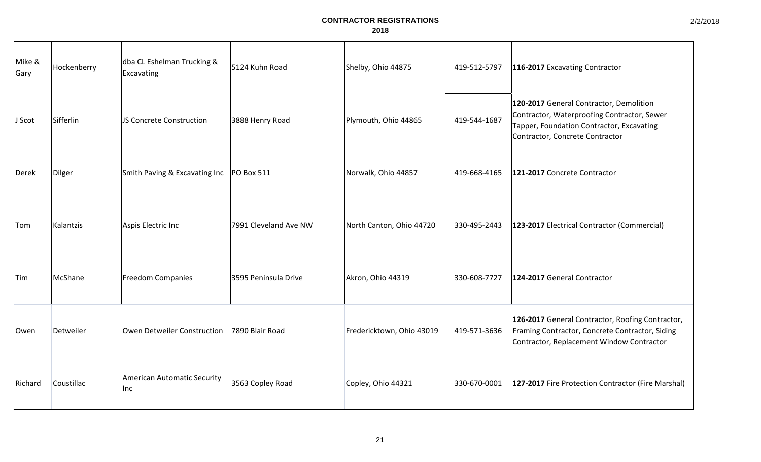| Mike &<br>Gary | Hockenberry | dba CL Eshelman Trucking &<br>Excavating   | 5124 Kuhn Road        | Shelby, Ohio 44875        | 419-512-5797 | 116-2017 Excavating Contractor                                                                                                                                         |
|----------------|-------------|--------------------------------------------|-----------------------|---------------------------|--------------|------------------------------------------------------------------------------------------------------------------------------------------------------------------------|
| J Scot         | Sifferlin   | JS Concrete Construction                   | 3888 Henry Road       | Plymouth, Ohio 44865      | 419-544-1687 | 120-2017 General Contractor, Demolition<br>Contractor, Waterproofing Contractor, Sewer<br>Tapper, Foundation Contractor, Excavating<br>Contractor, Concrete Contractor |
| Derek          | Dilger      | Smith Paving & Excavating Inc   PO Box 511 |                       | Norwalk, Ohio 44857       | 419-668-4165 | 121-2017 Concrete Contractor                                                                                                                                           |
| Tom            | Kalantzis   | Aspis Electric Inc                         | 7991 Cleveland Ave NW | North Canton, Ohio 44720  | 330-495-2443 | 123-2017 Electrical Contractor (Commercial)                                                                                                                            |
| Tim            | McShane     | <b>Freedom Companies</b>                   | 3595 Peninsula Drive  | Akron, Ohio 44319         | 330-608-7727 | 124-2017 General Contractor                                                                                                                                            |
| Owen           | Detweiler   | Owen Detweiler Construction                | 7890 Blair Road       | Fredericktown, Ohio 43019 | 419-571-3636 | 126-2017 General Contractor, Roofing Contractor,<br>Framing Contractor, Concrete Contractor, Siding<br>Contractor, Replacement Window Contractor                       |
| Richard        | Coustillac  | <b>American Automatic Security</b><br>Inc  | 3563 Copley Road      | Copley, Ohio 44321        | 330-670-0001 | 127-2017 Fire Protection Contractor (Fire Marshal)                                                                                                                     |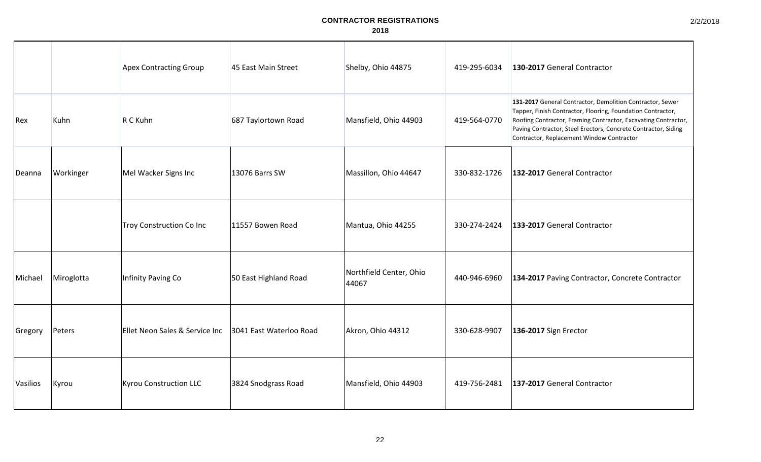|                 |            | <b>Apex Contracting Group</b>  | 45 East Main Street     | Shelby, Ohio 44875               | 419-295-6034 | 130-2017 General Contractor                                                                                                                                                                                                                                                                               |
|-----------------|------------|--------------------------------|-------------------------|----------------------------------|--------------|-----------------------------------------------------------------------------------------------------------------------------------------------------------------------------------------------------------------------------------------------------------------------------------------------------------|
| Rex             | Kuhn       | R C Kuhn                       | 687 Taylortown Road     | Mansfield, Ohio 44903            | 419-564-0770 | 131-2017 General Contractor, Demolition Contractor, Sewer<br>Tapper, Finish Contractor, Flooring, Foundation Contractor,<br>Roofing Contractor, Framing Contractor, Excavating Contractor,<br>Paving Contractor, Steel Erectors, Concrete Contractor, Siding<br>Contractor, Replacement Window Contractor |
| Deanna          | Workinger  | Mel Wacker Signs Inc           | 13076 Barrs SW          | Massillon, Ohio 44647            | 330-832-1726 | 132-2017 General Contractor                                                                                                                                                                                                                                                                               |
|                 |            | Troy Construction Co Inc       | 11557 Bowen Road        | Mantua, Ohio 44255               | 330-274-2424 | 133-2017 General Contractor                                                                                                                                                                                                                                                                               |
| Michael         | Miroglotta | Infinity Paving Co             | 50 East Highland Road   | Northfield Center, Ohio<br>44067 | 440-946-6960 | 134-2017 Paving Contractor, Concrete Contractor                                                                                                                                                                                                                                                           |
| Gregory         | Peters     | Ellet Neon Sales & Service Inc | 3041 East Waterloo Road | Akron, Ohio 44312                | 330-628-9907 | 136-2017 Sign Erector                                                                                                                                                                                                                                                                                     |
| <b>Vasilios</b> | Kyrou      | Kyrou Construction LLC         | 3824 Snodgrass Road     | Mansfield, Ohio 44903            | 419-756-2481 | 137-2017 General Contractor                                                                                                                                                                                                                                                                               |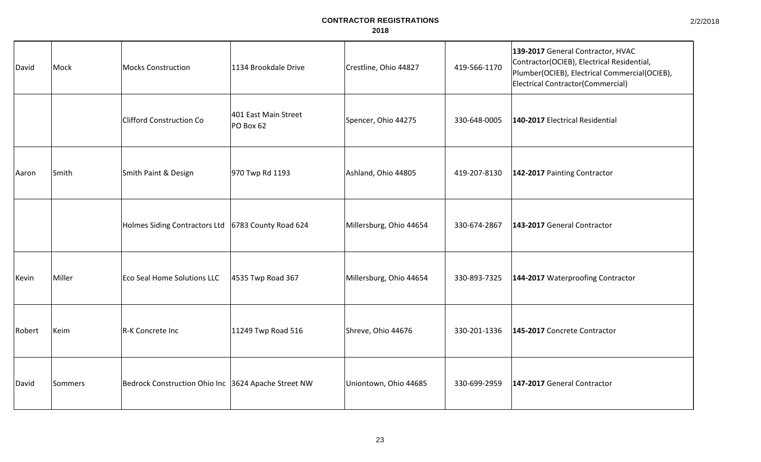| David  | Mock    | Mocks Construction                                   | 1134 Brookdale Drive              | Crestline, Ohio 44827   | 419-566-1170 | 139-2017 General Contractor, HVAC<br>Contractor(OCIEB), Electrical Residential,<br>Plumber(OCIEB), Electrical Commercial(OCIEB),<br><b>Electrical Contractor (Commercial)</b> |
|--------|---------|------------------------------------------------------|-----------------------------------|-------------------------|--------------|-------------------------------------------------------------------------------------------------------------------------------------------------------------------------------|
|        |         | <b>Clifford Construction Co</b>                      | 401 East Main Street<br>PO Box 62 | Spencer, Ohio 44275     | 330-648-0005 | 140-2017 Electrical Residential                                                                                                                                               |
| Aaron  | Smith   | Smith Paint & Design                                 | 970 Twp Rd 1193                   | Ashland, Ohio 44805     | 419-207-8130 | 142-2017 Painting Contractor                                                                                                                                                  |
|        |         | Holmes Siding Contractors Ltd   6783 County Road 624 |                                   | Millersburg, Ohio 44654 | 330-674-2867 | 143-2017 General Contractor                                                                                                                                                   |
| Kevin  | Miller  | <b>Eco Seal Home Solutions LLC</b>                   | 4535 Twp Road 367                 | Millersburg, Ohio 44654 | 330-893-7325 | 144-2017 Waterproofing Contractor                                                                                                                                             |
| Robert | Keim    | R-K Concrete Inc                                     | 11249 Twp Road 516                | Shreve, Ohio 44676      | 330-201-1336 | 145-2017 Concrete Contractor                                                                                                                                                  |
| David  | Sommers | Bedrock Construction Ohio Inc 3624 Apache Street NW  |                                   | Uniontown, Ohio 44685   | 330-699-2959 | 147-2017 General Contractor                                                                                                                                                   |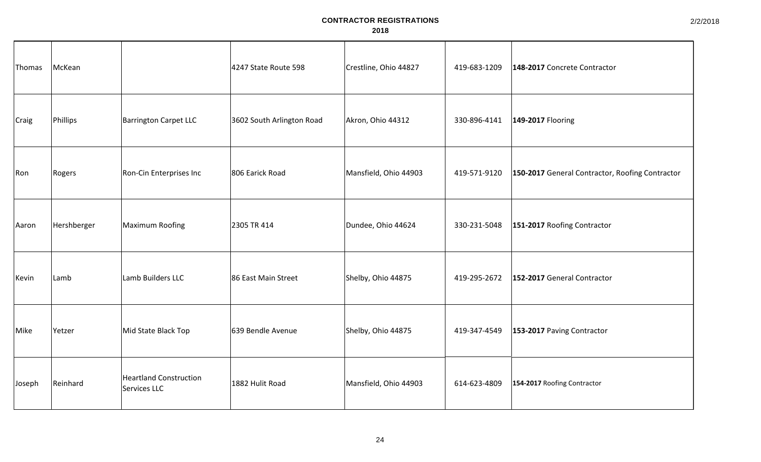| Thomas       | McKean      |                                               | 4247 State Route 598      | Crestline, Ohio 44827 | 419-683-1209 | 148-2017 Concrete Contractor                    |
|--------------|-------------|-----------------------------------------------|---------------------------|-----------------------|--------------|-------------------------------------------------|
| <b>Craig</b> | Phillips    | <b>Barrington Carpet LLC</b>                  | 3602 South Arlington Road | Akron, Ohio 44312     | 330-896-4141 | 149-2017 Flooring                               |
| Ron          | Rogers      | Ron-Cin Enterprises Inc                       | 806 Earick Road           | Mansfield, Ohio 44903 | 419-571-9120 | 150-2017 General Contractor, Roofing Contractor |
| Aaron        | Hershberger | Maximum Roofing                               | 2305 TR 414               | Dundee, Ohio 44624    | 330-231-5048 | 151-2017 Roofing Contractor                     |
| Kevin        | Lamb        | Lamb Builders LLC                             | 86 East Main Street       | Shelby, Ohio 44875    | 419-295-2672 | 152-2017 General Contractor                     |
| Mike         | Yetzer      | Mid State Black Top                           | 639 Bendle Avenue         | Shelby, Ohio 44875    | 419-347-4549 | 153-2017 Paving Contractor                      |
| Joseph       | Reinhard    | <b>Heartland Construction</b><br>Services LLC | 1882 Hulit Road           | Mansfield, Ohio 44903 | 614-623-4809 | 154-2017 Roofing Contractor                     |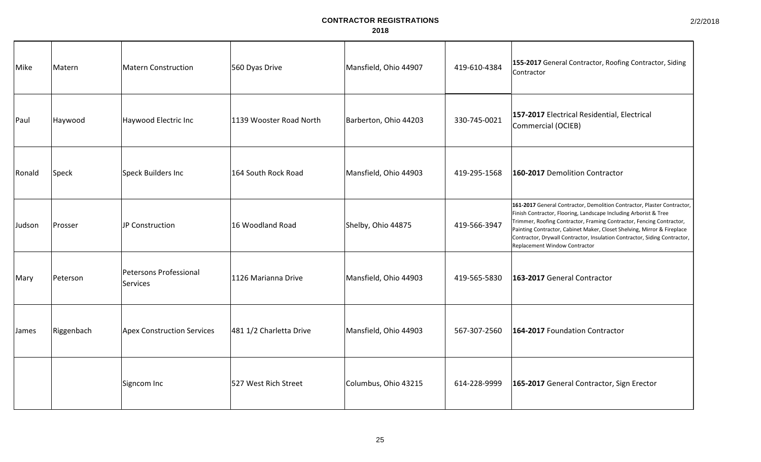| Mike         | Matern     | Matern Construction                | 560 Dyas Drive          | Mansfield, Ohio 44907 | 419-610-4384 | 155-2017 General Contractor, Roofing Contractor, Siding<br>Contractor                                                                                                                                                                                                                                                                                                                                        |
|--------------|------------|------------------------------------|-------------------------|-----------------------|--------------|--------------------------------------------------------------------------------------------------------------------------------------------------------------------------------------------------------------------------------------------------------------------------------------------------------------------------------------------------------------------------------------------------------------|
| Paul         | Haywood    | Haywood Electric Inc               | 1139 Wooster Road North | Barberton, Ohio 44203 | 330-745-0021 | 157-2017 Electrical Residential, Electrical<br>Commercial (OCIEB)                                                                                                                                                                                                                                                                                                                                            |
| Ronald       | Speck      | Speck Builders Inc                 | 164 South Rock Road     | Mansfield, Ohio 44903 | 419-295-1568 | 160-2017 Demolition Contractor                                                                                                                                                                                                                                                                                                                                                                               |
| Judson       | Prosser    | JP Construction                    | 16 Woodland Road        | Shelby, Ohio 44875    | 419-566-3947 | 161-2017 General Contractor, Demolition Contractor, Plaster Contractor,<br>Finish Contractor, Flooring, Landscape Including Arborist & Tree<br>Trimmer, Roofing Contractor, Framing Contractor, Fencing Contractor,<br>Painting Contractor, Cabinet Maker, Closet Shelving, Mirror & Fireplace<br>Contractor, Drywall Contractor, Insulation Contractor, Siding Contractor,<br>Replacement Window Contractor |
| Mary         | Peterson   | Petersons Professional<br>Services | 1126 Marianna Drive     | Mansfield, Ohio 44903 | 419-565-5830 | 163-2017 General Contractor                                                                                                                                                                                                                                                                                                                                                                                  |
| <b>James</b> | Riggenbach | <b>Apex Construction Services</b>  | 481 1/2 Charletta Drive | Mansfield, Ohio 44903 | 567-307-2560 | 164-2017 Foundation Contractor                                                                                                                                                                                                                                                                                                                                                                               |
|              |            | Signcom Inc                        | 527 West Rich Street    | Columbus, Ohio 43215  | 614-228-9999 | 165-2017 General Contractor, Sign Erector                                                                                                                                                                                                                                                                                                                                                                    |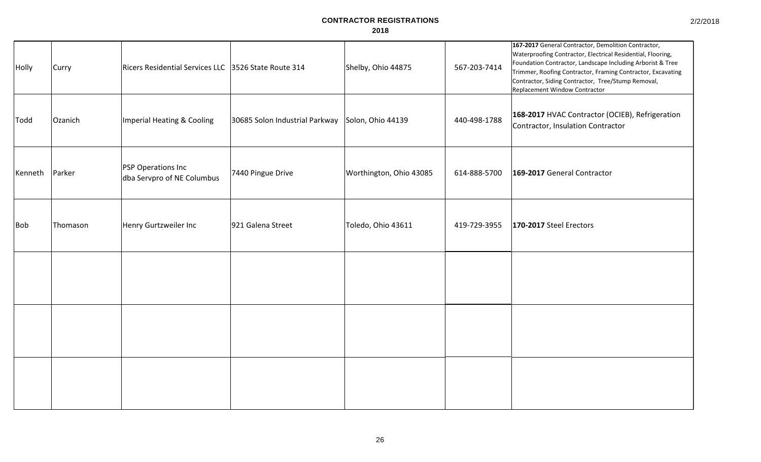| Holly      | Curry    | Ricers Residential Services LLC 3526 State Route 314    |                                | Shelby, Ohio 44875      | 567-203-7414 | 167-2017 General Contractor, Demolition Contractor,<br>Waterproofing Contractor, Electrical Residential, Flooring,<br>Foundation Contractor, Landscape Including Arborist & Tree<br>Trimmer, Roofing Contractor, Framing Contractor, Excavating<br>Contractor, Siding Contractor, Tree/Stump Removal,<br>Replacement Window Contractor |
|------------|----------|---------------------------------------------------------|--------------------------------|-------------------------|--------------|----------------------------------------------------------------------------------------------------------------------------------------------------------------------------------------------------------------------------------------------------------------------------------------------------------------------------------------|
| Todd       | Ozanich  | Imperial Heating & Cooling                              | 30685 Solon Industrial Parkway | Solon, Ohio 44139       | 440-498-1788 | 168-2017 HVAC Contractor (OCIEB), Refrigeration<br>Contractor, Insulation Contractor                                                                                                                                                                                                                                                   |
| Kenneth    | Parker   | <b>PSP Operations Inc</b><br>dba Servpro of NE Columbus | 7440 Pingue Drive              | Worthington, Ohio 43085 | 614-888-5700 | 169-2017 General Contractor                                                                                                                                                                                                                                                                                                            |
| <b>Bob</b> | Thomason | Henry Gurtzweiler Inc                                   | 921 Galena Street              | Toledo, Ohio 43611      | 419-729-3955 | 170-2017 Steel Erectors                                                                                                                                                                                                                                                                                                                |
|            |          |                                                         |                                |                         |              |                                                                                                                                                                                                                                                                                                                                        |
|            |          |                                                         |                                |                         |              |                                                                                                                                                                                                                                                                                                                                        |
|            |          |                                                         |                                |                         |              |                                                                                                                                                                                                                                                                                                                                        |

2/2/2018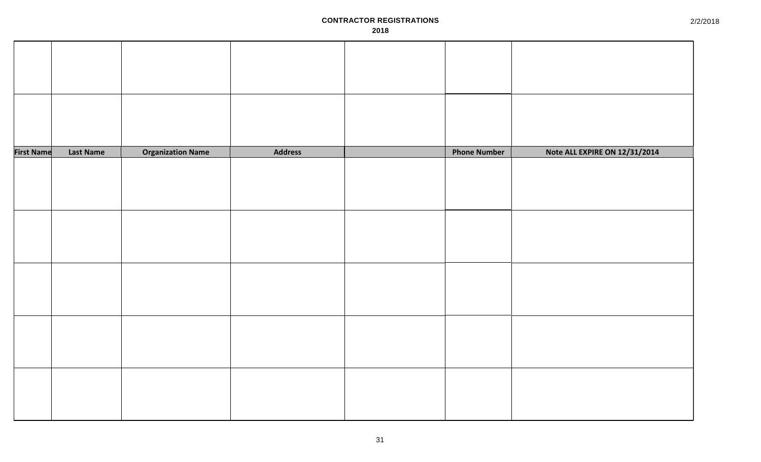| <b>First Name</b> | <b>Last Name</b> | <b>Organization Name</b> | Address | <b>Phone Number</b> | Note ALL EXPIRE ON 12/31/2014 |
|-------------------|------------------|--------------------------|---------|---------------------|-------------------------------|
|                   |                  |                          |         |                     |                               |
|                   |                  |                          |         |                     |                               |
|                   |                  |                          |         |                     |                               |
|                   |                  |                          |         |                     |                               |
|                   |                  |                          |         |                     |                               |